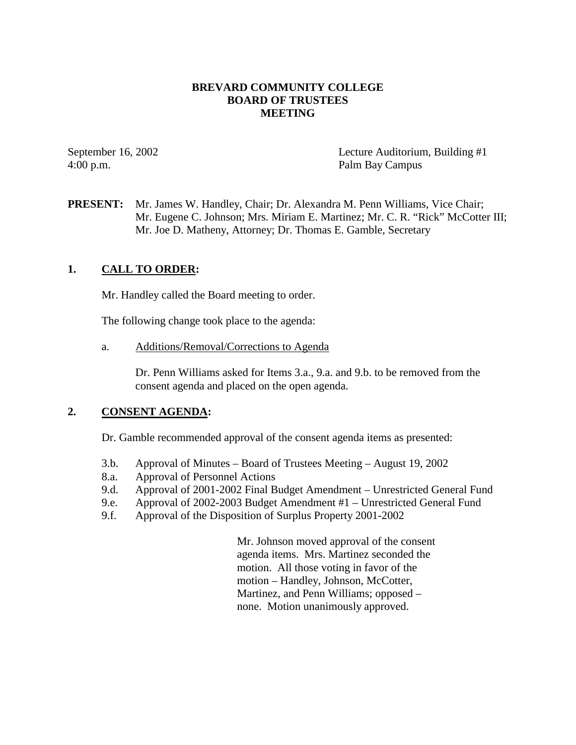### **BREVARD COMMUNITY COLLEGE BOARD OF TRUSTEES MEETING**

4:00 p.m. Palm Bay Campus

September 16, 2002 Lecture Auditorium, Building #1

**PRESENT:** Mr. James W. Handley, Chair; Dr. Alexandra M. Penn Williams, Vice Chair; Mr. Eugene C. Johnson; Mrs. Miriam E. Martinez; Mr. C. R. "Rick" McCotter III; Mr. Joe D. Matheny, Attorney; Dr. Thomas E. Gamble, Secretary

## **1. CALL TO ORDER:**

Mr. Handley called the Board meeting to order.

The following change took place to the agenda:

a. Additions/Removal/Corrections to Agenda

Dr. Penn Williams asked for Items 3.a., 9.a. and 9.b. to be removed from the consent agenda and placed on the open agenda.

### **2. CONSENT AGENDA:**

Dr. Gamble recommended approval of the consent agenda items as presented:

- 3.b. Approval of Minutes Board of Trustees Meeting August 19, 2002
- 8.a. Approval of Personnel Actions
- 9.d. Approval of 2001-2002 Final Budget Amendment Unrestricted General Fund
- 9.e. Approval of 2002-2003 Budget Amendment #1 Unrestricted General Fund
- 9.f. Approval of the Disposition of Surplus Property 2001-2002

Mr. Johnson moved approval of the consent agenda items. Mrs. Martinez seconded the motion. All those voting in favor of the motion – Handley, Johnson, McCotter, Martinez, and Penn Williams; opposed – none. Motion unanimously approved.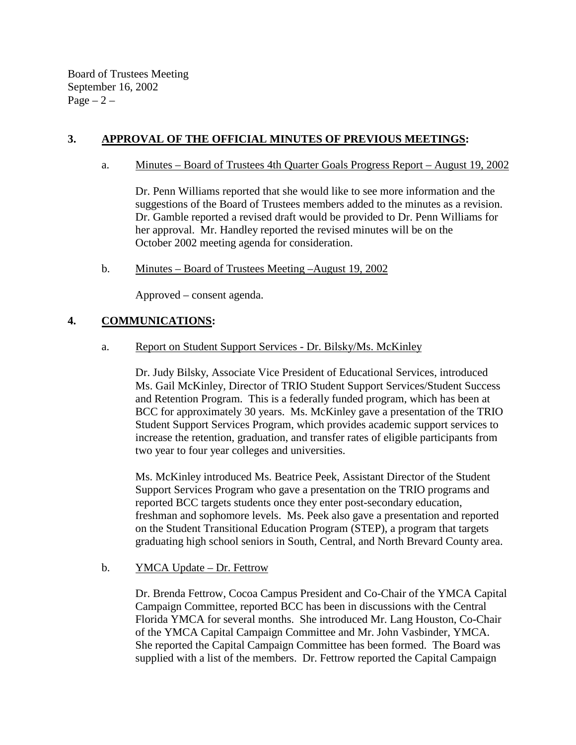Board of Trustees Meeting September 16, 2002  $Page - 2 -$ 

# **3. APPROVAL OF THE OFFICIAL MINUTES OF PREVIOUS MEETINGS:**

### a. Minutes – Board of Trustees 4th Quarter Goals Progress Report – August 19, 2002

Dr. Penn Williams reported that she would like to see more information and the suggestions of the Board of Trustees members added to the minutes as a revision. Dr. Gamble reported a revised draft would be provided to Dr. Penn Williams for her approval. Mr. Handley reported the revised minutes will be on the October 2002 meeting agenda for consideration.

## b. Minutes – Board of Trustees Meeting –August 19, 2002

Approved – consent agenda.

## **4. COMMUNICATIONS:**

### a. Report on Student Support Services - Dr. Bilsky/Ms. McKinley

Dr. Judy Bilsky, Associate Vice President of Educational Services, introduced Ms. Gail McKinley, Director of TRIO Student Support Services/Student Success and Retention Program. This is a federally funded program, which has been at BCC for approximately 30 years. Ms. McKinley gave a presentation of the TRIO Student Support Services Program, which provides academic support services to increase the retention, graduation, and transfer rates of eligible participants from two year to four year colleges and universities.

Ms. McKinley introduced Ms. Beatrice Peek, Assistant Director of the Student Support Services Program who gave a presentation on the TRIO programs and reported BCC targets students once they enter post-secondary education, freshman and sophomore levels. Ms. Peek also gave a presentation and reported on the Student Transitional Education Program (STEP), a program that targets graduating high school seniors in South, Central, and North Brevard County area.

## b. **YMCA Update – Dr. Fettrow**

Dr. Brenda Fettrow, Cocoa Campus President and Co-Chair of the YMCA Capital Campaign Committee, reported BCC has been in discussions with the Central Florida YMCA for several months. She introduced Mr. Lang Houston, Co-Chair of the YMCA Capital Campaign Committee and Mr. John Vasbinder, YMCA. She reported the Capital Campaign Committee has been formed. The Board was supplied with a list of the members. Dr. Fettrow reported the Capital Campaign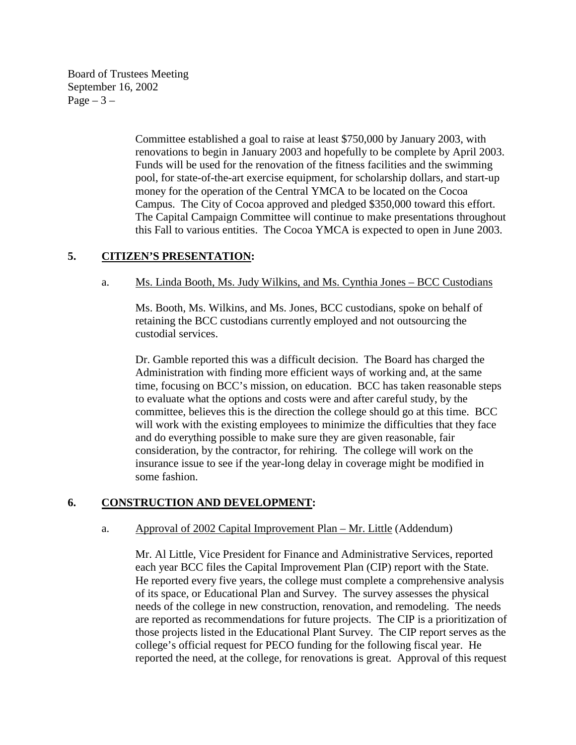Board of Trustees Meeting September 16, 2002 Page  $-3-$ 

> Committee established a goal to raise at least \$750,000 by January 2003, with renovations to begin in January 2003 and hopefully to be complete by April 2003. Funds will be used for the renovation of the fitness facilities and the swimming pool, for state-of-the-art exercise equipment, for scholarship dollars, and start-up money for the operation of the Central YMCA to be located on the Cocoa Campus. The City of Cocoa approved and pledged \$350,000 toward this effort. The Capital Campaign Committee will continue to make presentations throughout this Fall to various entities. The Cocoa YMCA is expected to open in June 2003.

## **5. CITIZEN'S PRESENTATION:**

#### a. Ms. Linda Booth, Ms. Judy Wilkins, and Ms. Cynthia Jones – BCC Custodians

Ms. Booth, Ms. Wilkins, and Ms. Jones, BCC custodians, spoke on behalf of retaining the BCC custodians currently employed and not outsourcing the custodial services.

Dr. Gamble reported this was a difficult decision. The Board has charged the Administration with finding more efficient ways of working and, at the same time, focusing on BCC's mission, on education. BCC has taken reasonable steps to evaluate what the options and costs were and after careful study, by the committee, believes this is the direction the college should go at this time. BCC will work with the existing employees to minimize the difficulties that they face and do everything possible to make sure they are given reasonable, fair consideration, by the contractor, for rehiring. The college will work on the insurance issue to see if the year-long delay in coverage might be modified in some fashion.

### **6. CONSTRUCTION AND DEVELOPMENT:**

#### a. Approval of 2002 Capital Improvement Plan – Mr. Little (Addendum)

Mr. Al Little, Vice President for Finance and Administrative Services, reported each year BCC files the Capital Improvement Plan (CIP) report with the State. He reported every five years, the college must complete a comprehensive analysis of its space, or Educational Plan and Survey. The survey assesses the physical needs of the college in new construction, renovation, and remodeling. The needs are reported as recommendations for future projects. The CIP is a prioritization of those projects listed in the Educational Plant Survey. The CIP report serves as the college's official request for PECO funding for the following fiscal year. He reported the need, at the college, for renovations is great. Approval of this request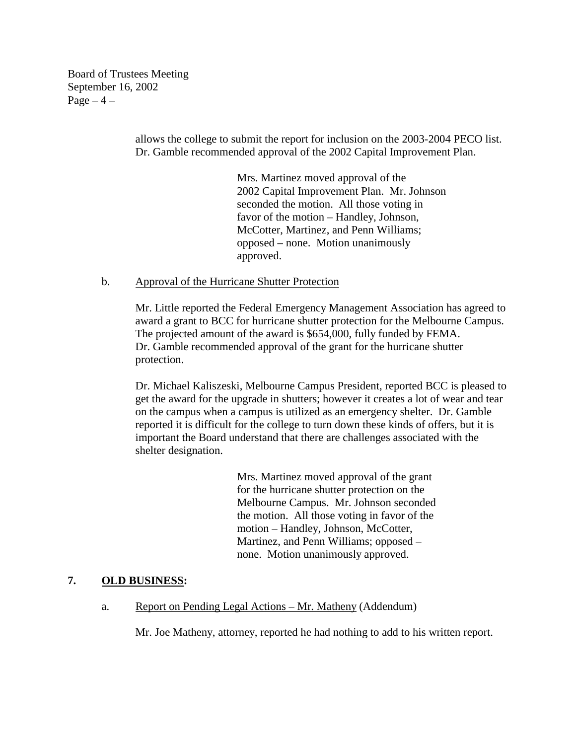Board of Trustees Meeting September 16, 2002  $Page-4$  –

> allows the college to submit the report for inclusion on the 2003-2004 PECO list. Dr. Gamble recommended approval of the 2002 Capital Improvement Plan.

> > Mrs. Martinez moved approval of the 2002 Capital Improvement Plan. Mr. Johnson seconded the motion. All those voting in favor of the motion – Handley, Johnson, McCotter, Martinez, and Penn Williams; opposed – none. Motion unanimously approved.

### b. Approval of the Hurricane Shutter Protection

Mr. Little reported the Federal Emergency Management Association has agreed to award a grant to BCC for hurricane shutter protection for the Melbourne Campus. The projected amount of the award is \$654,000, fully funded by FEMA. Dr. Gamble recommended approval of the grant for the hurricane shutter protection.

Dr. Michael Kaliszeski, Melbourne Campus President, reported BCC is pleased to get the award for the upgrade in shutters; however it creates a lot of wear and tear on the campus when a campus is utilized as an emergency shelter. Dr. Gamble reported it is difficult for the college to turn down these kinds of offers, but it is important the Board understand that there are challenges associated with the shelter designation.

> Mrs. Martinez moved approval of the grant for the hurricane shutter protection on the Melbourne Campus. Mr. Johnson seconded the motion. All those voting in favor of the motion – Handley, Johnson, McCotter, Martinez, and Penn Williams; opposed – none. Motion unanimously approved.

## **7. OLD BUSINESS:**

a. Report on Pending Legal Actions – Mr. Matheny (Addendum)

Mr. Joe Matheny, attorney, reported he had nothing to add to his written report.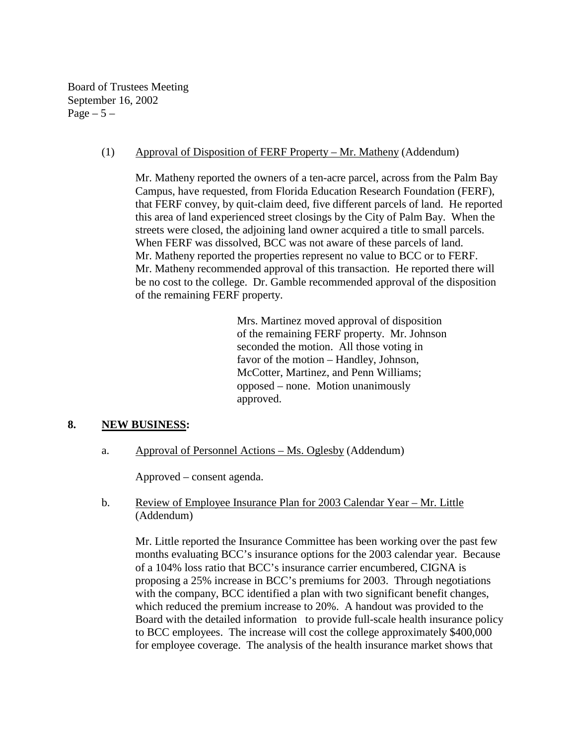Board of Trustees Meeting September 16, 2002 Page  $-5-$ 

### (1) Approval of Disposition of FERF Property – Mr. Matheny (Addendum)

Mr. Matheny reported the owners of a ten-acre parcel, across from the Palm Bay Campus, have requested, from Florida Education Research Foundation (FERF), that FERF convey, by quit-claim deed, five different parcels of land. He reported this area of land experienced street closings by the City of Palm Bay. When the streets were closed, the adjoining land owner acquired a title to small parcels. When FERF was dissolved, BCC was not aware of these parcels of land. Mr. Matheny reported the properties represent no value to BCC or to FERF. Mr. Matheny recommended approval of this transaction. He reported there will be no cost to the college. Dr. Gamble recommended approval of the disposition of the remaining FERF property.

> Mrs. Martinez moved approval of disposition of the remaining FERF property. Mr. Johnson seconded the motion. All those voting in favor of the motion – Handley, Johnson, McCotter, Martinez, and Penn Williams; opposed – none. Motion unanimously approved.

### **8. NEW BUSINESS:**

a. Approval of Personnel Actions – Ms. Oglesby (Addendum)

Approved – consent agenda.

b. Review of Employee Insurance Plan for 2003 Calendar Year – Mr. Little (Addendum)

Mr. Little reported the Insurance Committee has been working over the past few months evaluating BCC's insurance options for the 2003 calendar year. Because of a 104% loss ratio that BCC's insurance carrier encumbered, CIGNA is proposing a 25% increase in BCC's premiums for 2003. Through negotiations with the company, BCC identified a plan with two significant benefit changes, which reduced the premium increase to 20%. A handout was provided to the Board with the detailed information to provide full-scale health insurance policy to BCC employees. The increase will cost the college approximately \$400,000 for employee coverage. The analysis of the health insurance market shows that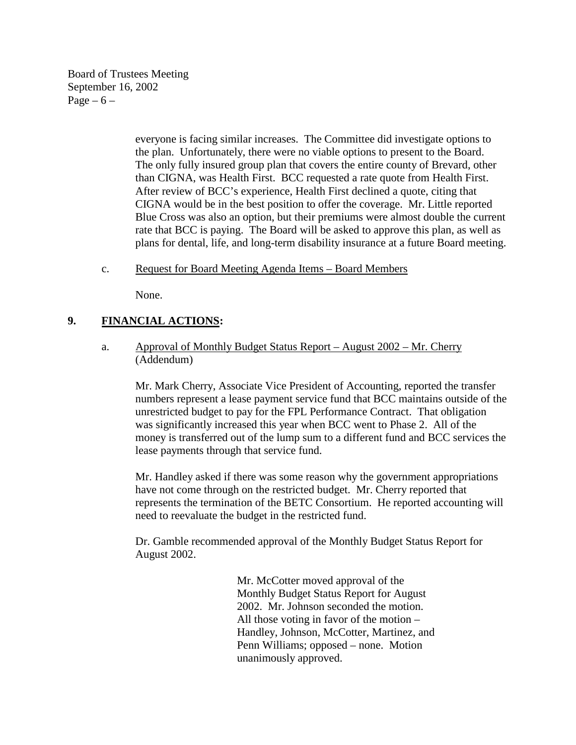Board of Trustees Meeting September 16, 2002 Page  $-6$  –

> everyone is facing similar increases. The Committee did investigate options to the plan. Unfortunately, there were no viable options to present to the Board. The only fully insured group plan that covers the entire county of Brevard, other than CIGNA, was Health First. BCC requested a rate quote from Health First. After review of BCC's experience, Health First declined a quote, citing that CIGNA would be in the best position to offer the coverage. Mr. Little reported Blue Cross was also an option, but their premiums were almost double the current rate that BCC is paying. The Board will be asked to approve this plan, as well as plans for dental, life, and long-term disability insurance at a future Board meeting.

c. Request for Board Meeting Agenda Items – Board Members

None.

# **9. FINANCIAL ACTIONS:**

a. Approval of Monthly Budget Status Report – August 2002 – Mr. Cherry (Addendum)

Mr. Mark Cherry, Associate Vice President of Accounting, reported the transfer numbers represent a lease payment service fund that BCC maintains outside of the unrestricted budget to pay for the FPL Performance Contract. That obligation was significantly increased this year when BCC went to Phase 2. All of the money is transferred out of the lump sum to a different fund and BCC services the lease payments through that service fund.

Mr. Handley asked if there was some reason why the government appropriations have not come through on the restricted budget. Mr. Cherry reported that represents the termination of the BETC Consortium. He reported accounting will need to reevaluate the budget in the restricted fund.

Dr. Gamble recommended approval of the Monthly Budget Status Report for August 2002.

> Mr. McCotter moved approval of the Monthly Budget Status Report for August 2002. Mr. Johnson seconded the motion. All those voting in favor of the motion – Handley, Johnson, McCotter, Martinez, and Penn Williams; opposed – none. Motion unanimously approved.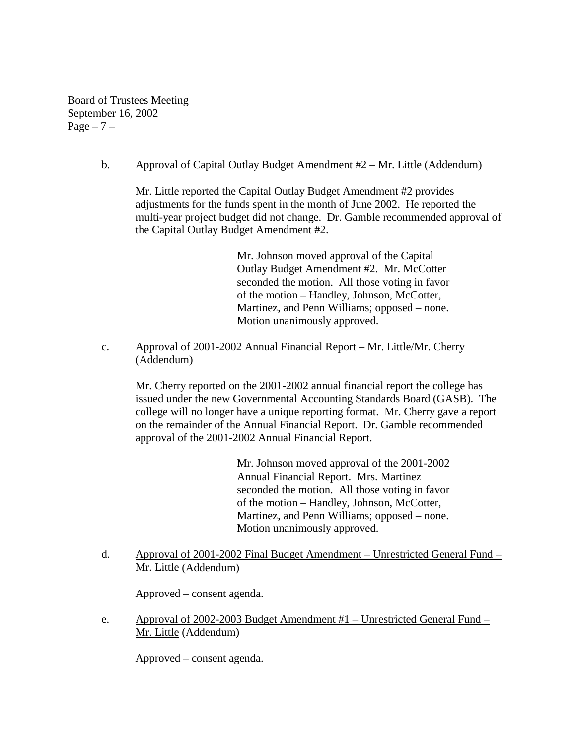Board of Trustees Meeting September 16, 2002 Page  $-7$  –

### b. Approval of Capital Outlay Budget Amendment #2 – Mr. Little (Addendum)

 Mr. Little reported the Capital Outlay Budget Amendment #2 provides adjustments for the funds spent in the month of June 2002. He reported the multi-year project budget did not change. Dr. Gamble recommended approval of the Capital Outlay Budget Amendment #2.

> Mr. Johnson moved approval of the Capital Outlay Budget Amendment #2. Mr. McCotter seconded the motion. All those voting in favor of the motion – Handley, Johnson, McCotter, Martinez, and Penn Williams; opposed – none. Motion unanimously approved.

c. Approval of 2001-2002 Annual Financial Report – Mr. Little/Mr. Cherry (Addendum)

 Mr. Cherry reported on the 2001-2002 annual financial report the college has issued under the new Governmental Accounting Standards Board (GASB). The college will no longer have a unique reporting format. Mr. Cherry gave a report on the remainder of the Annual Financial Report. Dr. Gamble recommended approval of the 2001-2002 Annual Financial Report.

> Mr. Johnson moved approval of the 2001-2002 Annual Financial Report. Mrs. Martinez seconded the motion. All those voting in favor of the motion – Handley, Johnson, McCotter, Martinez, and Penn Williams; opposed – none. Motion unanimously approved.

d. Approval of 2001-2002 Final Budget Amendment – Unrestricted General Fund – Mr. Little (Addendum)

Approved – consent agenda.

e. Approval of 2002-2003 Budget Amendment #1 – Unrestricted General Fund – Mr. Little (Addendum)

Approved – consent agenda.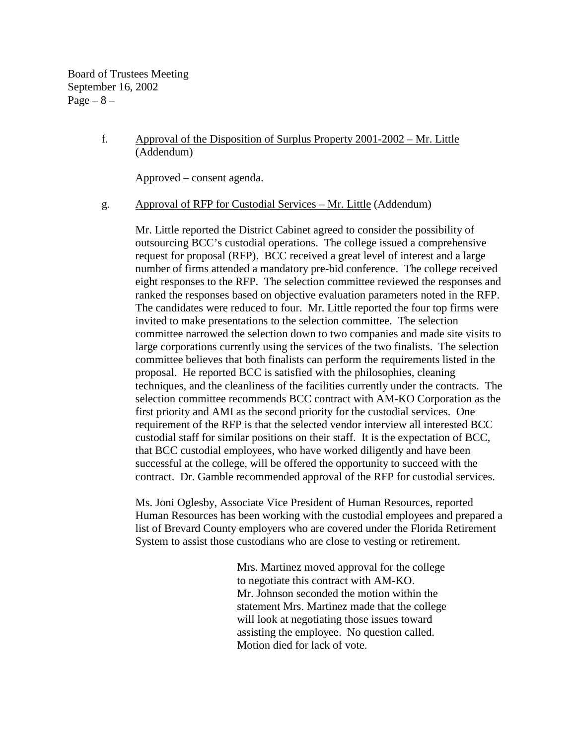Board of Trustees Meeting September 16, 2002  $Page - 8 -$ 

### f. Approval of the Disposition of Surplus Property 2001-2002 – Mr. Little (Addendum)

Approved – consent agenda.

#### g. Approval of RFP for Custodial Services – Mr. Little (Addendum)

Mr. Little reported the District Cabinet agreed to consider the possibility of outsourcing BCC's custodial operations. The college issued a comprehensive request for proposal (RFP). BCC received a great level of interest and a large number of firms attended a mandatory pre-bid conference. The college received eight responses to the RFP. The selection committee reviewed the responses and ranked the responses based on objective evaluation parameters noted in the RFP. The candidates were reduced to four. Mr. Little reported the four top firms were invited to make presentations to the selection committee. The selection committee narrowed the selection down to two companies and made site visits to large corporations currently using the services of the two finalists. The selection committee believes that both finalists can perform the requirements listed in the proposal. He reported BCC is satisfied with the philosophies, cleaning techniques, and the cleanliness of the facilities currently under the contracts. The selection committee recommends BCC contract with AM-KO Corporation as the first priority and AMI as the second priority for the custodial services. One requirement of the RFP is that the selected vendor interview all interested BCC custodial staff for similar positions on their staff. It is the expectation of BCC, that BCC custodial employees, who have worked diligently and have been successful at the college, will be offered the opportunity to succeed with the contract. Dr. Gamble recommended approval of the RFP for custodial services.

Ms. Joni Oglesby, Associate Vice President of Human Resources, reported Human Resources has been working with the custodial employees and prepared a list of Brevard County employers who are covered under the Florida Retirement System to assist those custodians who are close to vesting or retirement.

> Mrs. Martinez moved approval for the college to negotiate this contract with AM-KO. Mr. Johnson seconded the motion within the statement Mrs. Martinez made that the college will look at negotiating those issues toward assisting the employee. No question called. Motion died for lack of vote.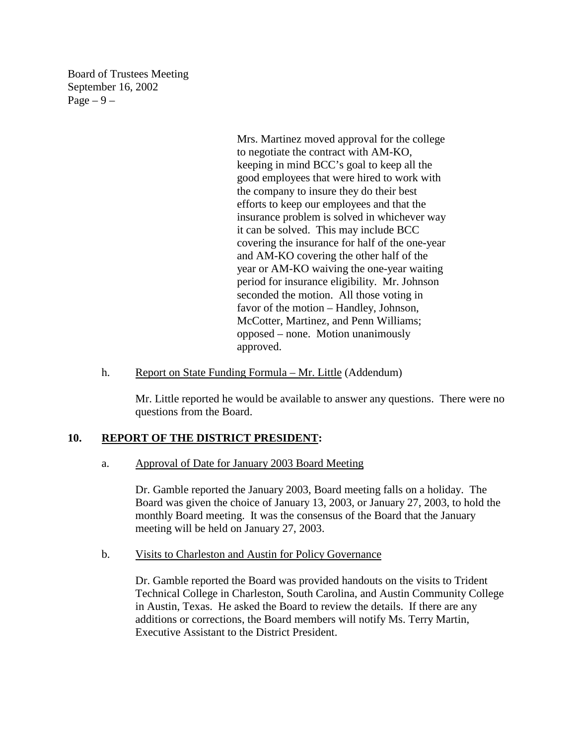Board of Trustees Meeting September 16, 2002  $Page - 9 -$ 

> Mrs. Martinez moved approval for the college to negotiate the contract with AM-KO, keeping in mind BCC's goal to keep all the good employees that were hired to work with the company to insure they do their best efforts to keep our employees and that the insurance problem is solved in whichever way it can be solved. This may include BCC covering the insurance for half of the one-year and AM-KO covering the other half of the year or AM-KO waiving the one-year waiting period for insurance eligibility. Mr. Johnson seconded the motion. All those voting in favor of the motion – Handley, Johnson, McCotter, Martinez, and Penn Williams; opposed – none. Motion unanimously approved.

h. Report on State Funding Formula – Mr. Little (Addendum)

Mr. Little reported he would be available to answer any questions. There were no questions from the Board.

### **10. REPORT OF THE DISTRICT PRESIDENT:**

a. Approval of Date for January 2003 Board Meeting

Dr. Gamble reported the January 2003, Board meeting falls on a holiday. The Board was given the choice of January 13, 2003, or January 27, 2003, to hold the monthly Board meeting. It was the consensus of the Board that the January meeting will be held on January 27, 2003.

b. Visits to Charleston and Austin for Policy Governance

Dr. Gamble reported the Board was provided handouts on the visits to Trident Technical College in Charleston, South Carolina, and Austin Community College in Austin, Texas. He asked the Board to review the details. If there are any additions or corrections, the Board members will notify Ms. Terry Martin, Executive Assistant to the District President.